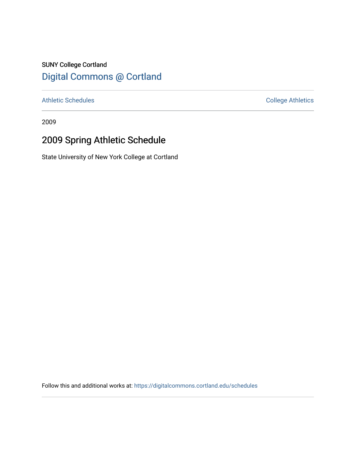# SUNY College Cortland [Digital Commons @ Cortland](https://digitalcommons.cortland.edu/)

[Athletic Schedules](https://digitalcommons.cortland.edu/schedules) **College Athletics** College Athletics

2009

# 2009 Spring Athletic Schedule

State University of New York College at Cortland

Follow this and additional works at: [https://digitalcommons.cortland.edu/schedules](https://digitalcommons.cortland.edu/schedules?utm_source=digitalcommons.cortland.edu%2Fschedules%2F95&utm_medium=PDF&utm_campaign=PDFCoverPages)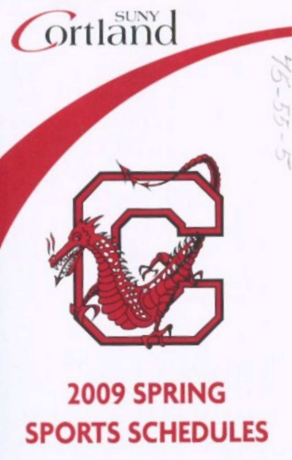# **Ortland**

# 2009 SPRING SPORTS SCHEDULES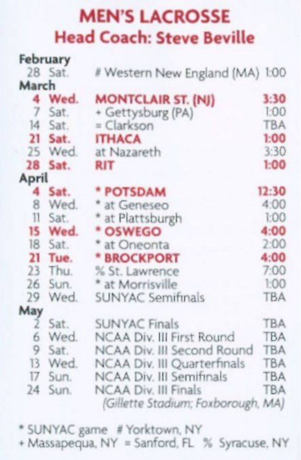#### MEN'S LACROSSE Head Coach: Steve Beville

|       | February |                                                                   |            |
|-------|----------|-------------------------------------------------------------------|------------|
|       | 28 Sat.  | # Western New England (MA) 1:00                                   |            |
| March |          |                                                                   |            |
|       | 4 Wed.   | <b>MONTCLAIR ST. (NJ)</b>                                         | 3:30       |
| 7     | Sat.     | + Gettysburg (PA)                                                 | 1:00       |
|       | 14 Sat.  | = Clarkson                                                        | <b>TBA</b> |
|       | 21 Sat.  | <b>ITHACA</b>                                                     | 1:00       |
|       | 25 Wed.  | at Nazareth                                                       | 3:30       |
| 28    | Sat.     | <b>RIT</b>                                                        | 1:00       |
| April |          |                                                                   |            |
|       | 4 Sat.   | * POTSDAM                                                         | 12:30      |
| 8     | Wed.     | * at Geneseo                                                      | 4:00       |
| 11    | Sat.     | * at Plattsburgh                                                  | 1:00       |
| 15    | Wed.     | * OSWEGO                                                          | 4:00       |
|       | 18 Sat.  | * at Oneonta                                                      | 2:00       |
| 21    | Tue.     | * BROCKPORT                                                       | 4:00       |
| 23    | Thu.     | % St. Lawrence                                                    | 7:00       |
| 26    | Sun.     | * at Morrisville                                                  | 1:00       |
| 29    | Wed.     | <b>SUNYAC Semifinals</b>                                          | <b>TBA</b> |
| May   |          |                                                                   |            |
| 2     | Sat.     | <b>SUNYAC Finals</b>                                              | <b>TBA</b> |
| 6     | Wed.     | NCAA Div. III First Round                                         | <b>TBA</b> |
| 9     | Sat.     | NCAA Div. III Second Round                                        | <b>TBA</b> |
| 13    | Wed.     | NCAA Div. III Quarterfinals                                       | <b>TBA</b> |
| 17    | Sun.     | <b>NCAA Div. III Semifinals</b>                                   | <b>TBA</b> |
| 24    | Sun.     | <b>NCAA Div. III Finals</b><br>(Gillette Stadium; Foxborough, MA) | <b>TBA</b> |
|       |          |                                                                   |            |

- \* SUNYAC game # Yorktown, NY + Massapequa, NY = Sanford, FL % Syracuse. NY
-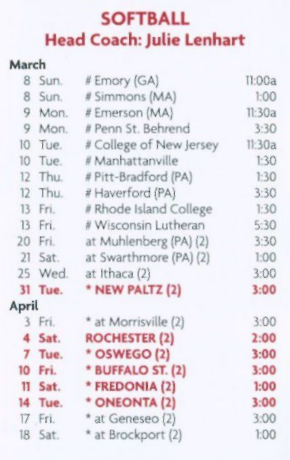## **SOFTBALL Head Coach: Julie Lenhart**

#### **March**

| 8       | Sun.    | # Emory (GA)            | II:00a |
|---------|---------|-------------------------|--------|
| 8       | Sun.    | # Simmons (MA)          | 1:00   |
| 9       | Mon.    | # Ernerson (MA)         | 11:30a |
| 9       | Mon.    | # Penn St. Behrend      | 3:30   |
| 10      | Tue.    | # College of New Jersey | 11:30a |
| 10      | Tue.    | # Manhattanville        | 1:30   |
| 12      | Thu.    | # Pitt-Bradford (PA)    | 1:30   |
| 12      | Thu.    | # Haverford (PA)        | 3:30   |
| 13      | Fri.    | # Rhode Island College  | 1:30   |
| 13      | Fri.    | # Wisconsin Lutheran    | 5:30   |
|         | 20 Fri. | at Muhlenberg (PA) (2)  | 3:30   |
| 21      | Sat.    | at Swarthmore (PA) (2)  | 1:00   |
| 25      | Wed.    | at Ithaca (2)           | 3:00   |
|         | 31 Tue. | * NEW PALTZ (2)         | 3:00   |
| April   |         |                         |        |
|         | 3 Fri.  | * at Morrisville (2)    | 3:00   |
| 4       | Sat.    | <b>ROCHESTER (2)</b>    | 2:00   |
| 7       | Tue.    | * OSWEGO (2)            | 3:00   |
| 10      | Fri.    | * BUFFALO ST. (2)       | 3:00   |
| $^{11}$ | Sat.    | * FREDONIA (2)          | 1:00   |
|         | 14 Tue. | * ONEONTA (2)           | 3:00   |
|         | 17 Fri. | * at Geneseo (2)        | 3:00   |
|         | 18 Sat. | * at Brockport (2)      | 1:00   |
|         |         |                         |        |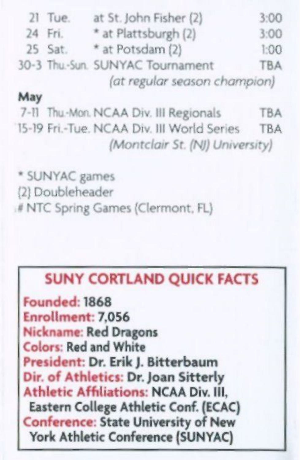| $21$ Tue. | at St. John Fisher (2)          | 3:00       |
|-----------|---------------------------------|------------|
| 24 Fri.   | * at Plattsburgh (2)            | 3:00       |
| 25 Sat.   | * at Potsdam (2)                | 1:00       |
|           | 30-3 Thu-Sun, SUNYAC Tournament | <b>TBA</b> |
|           | (at regular season champion)    |            |

#### **May**

7-11 Thu-Mon. NCAA Div. III Regionals TBA 15-19 Fri.-Tue. NCAA Div. Ill World Series TBA *(Montclair St. (NJ) University)* 

\* SUNYAC games (2) Doubleheader .# NTC Spring Games (Clermont. FL)

#### **SUNY CORTLAND QUICK FACTS**

**Founded: 1868 Enrollment: 7,056 Nickname: Red Dragons Colors: Red and White President: Dr. Erik J. Bitterbaum Dir. of Athletics: Dr. Joan Sitterly Athletic Affiliations: NCAA Div. Ill, Eastern College Athletic Conf. (ECAC) Conference: State University of New York Athletic Conference (SUNYAC)**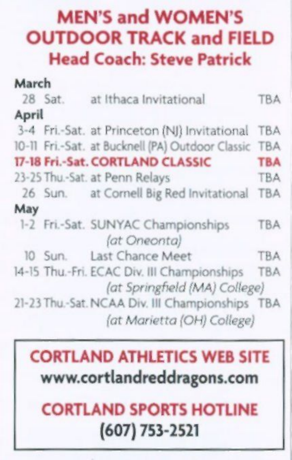## MEN'S and WOMEN'S OUTDOOR TRACK and FIELD Head Coach: Steve Patrick

| March |                                                                              |            |
|-------|------------------------------------------------------------------------------|------------|
|       | 28 Sat. at Ithaca Invitational                                               | <b>TBA</b> |
| April |                                                                              |            |
|       | 3-4 Fri.-Sat. at Princeton (NJ) Invitational                                 | <b>TBA</b> |
|       | 10-11 Fri.-Sat. at Bucknell (PA) Outdoor Classic TBA                         |            |
|       | 17-18 Fri.-Sat. CORTLAND CLASSIC                                             | <b>TBA</b> |
|       | 23-25 Thu - Sat. at Penn Relays                                              | <b>TBA</b> |
|       | 26 Sun. at Cornell Big Red Invitational                                      | <b>TBA</b> |
| May   |                                                                              |            |
|       | 1-2 Fri.-Sat. SUNYAC Championships<br>(at Oneonta)                           | <b>TBA</b> |
|       | 10 Sun. Last Chance Meet                                                     | TBA        |
|       | 14-15 Thu.-Fri. ECAC Div. III Championships<br>(at Springfield (MA) College) | TBA        |
|       | 21-23 Thu.-Sat. NCAA Div. III Championships<br>(at Marietta (OH) College)    | <b>TBA</b> |

## CORTLAND ATHLETICS WEB SITE www.cortlandreddragons.com

## CORTLAND SPORTS HOTLINE (607) 753-2521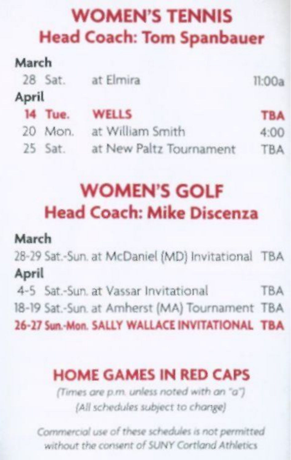#### WOMEN'S TENNIS Head Coach: Tom Spanbauer

| March |         |                         |            |
|-------|---------|-------------------------|------------|
|       | 28 Sat. | at Elmira               | 11:00a     |
| April |         |                         |            |
|       | 14 Tue. | <b>WELLS</b>            | <b>TBA</b> |
|       | 20 Mon. | at William Smith        | 4:00       |
|       | 25 Sat. | at New Paltz Tournament | <b>TBA</b> |

## WOMEN'S GOLF Head Coach: Mike Discenza

#### March

28-29 Sat.-Sun. at McDaniel (MD) Invitational TBA

April

4-5 Sat.-Sun. at Vassar Invitational TBA 18-19 Sat.-Sun. at Amherst (MA) Tournament TBA

26-27 Sun.-Mon. SALLY WALLACE INVITATIONAL TBA

#### HOME GAMES IN RED CAPS

*(Times are p.m. unless noted with an ~a") (All schedules subject to change)* 

*Commercial use of these schedules is not permitted without the consent of SUNY Cortland A thletics*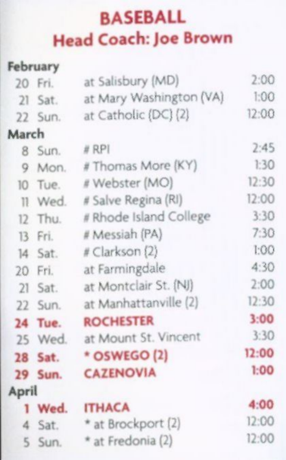# BASEBALL Head Coach: Joe Brown

|       | February       |                         |       |
|-------|----------------|-------------------------|-------|
|       | 20 Fri.        | at Salisbury (MD)       | 2:00  |
|       | 21 Sat.        | at Mary Washington (VA) | 1:00  |
|       | 22 Sun.        | at Catholic (DC) (2)    | 12:00 |
| March |                |                         |       |
|       | 8 Sun.         | # RPI                   | 2:45  |
|       | 9 Mon.         | # Thomas More (KY)      | 1:30  |
|       | 10 Tue.        | # Webster (MO)          | 12:30 |
|       | 11 Wed.        | # Salve Regina (RI)     | 12:00 |
|       | 12 Thu.        | # Rhode Island College  | 3:30  |
|       | 13 Fri.        | # Messiah (PA)          | 7:30  |
|       | 14 Sat.        | # Clarkson (2)          | 1:00  |
|       | 20 Fri.        | at Farmingdale          | 4:30  |
|       | 21 Sat.        | at Montclair St. (NJ)   | 2:00  |
|       | 22 Sun.        | at Manhattanville (2)   | 12:30 |
|       | 24 Tue.        | <b>ROCHESTER</b>        | 3:00  |
|       | 25 Wed.        | at Mount St. Vincent    | 3:30  |
|       | <b>28 Sat.</b> | * OSWEGO (2)            | 12:00 |
|       | 29 Sun.        | <b>CAZENOVIA</b>        | 1:00  |
| April |                |                         |       |
|       | 1 Wed.         | <b>ITHACA</b>           | 4:00  |
|       | 4 Sat.         | * at Brockport (2)      | 12:00 |
|       | 5 Sun.         | * at Fredonia (2)       | 12:00 |
|       |                |                         |       |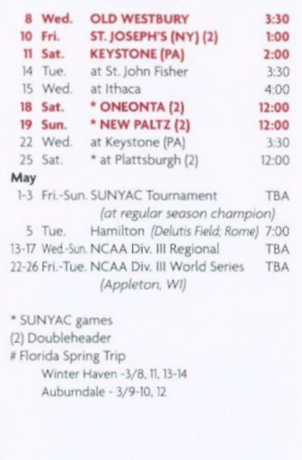| 8   | Wed.    | <b>OLD WESTBURY</b>                                          | 3:30       |
|-----|---------|--------------------------------------------------------------|------------|
| 10  | Fri.    | ST. JOSEPH'S (NY) (2)                                        | 1:00       |
| 11  | Sat.    | <b>KEYSTONE (PA)</b>                                         | 2:00       |
| 14  | Tue.    | at St. John Fisher                                           | 3:30       |
| 15  | Wed.    | at Ithaca                                                    | 4:00       |
|     | 18 Sat. | * ONEONTA (2)                                                | 12:00      |
| 19  | Sun.    | * NEW PALTZ (2)                                              | 12:00      |
|     | 22 Wed. | at Keystone (PA)                                             | 3:30       |
|     | 25 Sat. | * at Plattsburgh (2)                                         | 12:00      |
| May |         |                                                              |            |
|     |         | 1-3 Fri.-Sun. SUNYAC Tournament                              | <b>TBA</b> |
|     |         | (at regular season champion)                                 |            |
|     |         | 5 Tue. Hamilton (Delutis Field; Rome) 7:00                   |            |
|     |         | 13-17 Wed-Sun. NCAA Div. III Regional                        | <b>TBA</b> |
|     |         | 22-26 Fri.-Tue. NCAA Div. III World Series<br>(Appleton, WI) | <b>TBA</b> |

\* SUNYAC games (2) Doubleheader # Florida Spring Trip Winter Haven -3/8,11,13-14 Auburndale - 3/9-10,12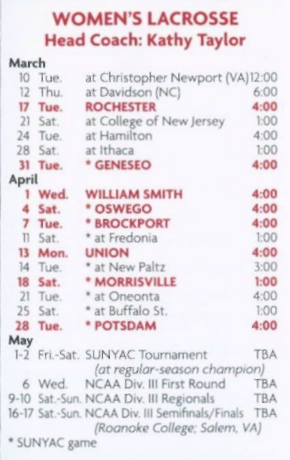#### **WOMEN'S LACROSSE Head Coach: Kathy Taylor**

| March     |                           |                                                                                                                                                                                                                                                                            |
|-----------|---------------------------|----------------------------------------------------------------------------------------------------------------------------------------------------------------------------------------------------------------------------------------------------------------------------|
| 10 Tue.   |                           |                                                                                                                                                                                                                                                                            |
| Thu.      | at Davidson (NC)          | 6:00                                                                                                                                                                                                                                                                       |
| 17 Tue.   | <b>ROCHESTER</b>          | 4:00                                                                                                                                                                                                                                                                       |
| $21$ Sat. | at College of New Jersey  | 1:00                                                                                                                                                                                                                                                                       |
| 24 Tue.   | at Hamilton               | 4:00                                                                                                                                                                                                                                                                       |
| 28 Sat.   | at Ithaca                 | 1:00                                                                                                                                                                                                                                                                       |
| Tue.      | * GENESEO                 | 4:00                                                                                                                                                                                                                                                                       |
| April     |                           |                                                                                                                                                                                                                                                                            |
| 1 Wed.    | <b>WILLIAM SMITH</b>      | 4:00                                                                                                                                                                                                                                                                       |
| Sat.      | * OSWEGO                  | 4:00                                                                                                                                                                                                                                                                       |
| Tue.      | * BROCKPORT               | 4:00                                                                                                                                                                                                                                                                       |
| Il Sat.   | * at Fredonia             | 1:00                                                                                                                                                                                                                                                                       |
| 13 Mon.   | <b>UNION</b>              | 4:00                                                                                                                                                                                                                                                                       |
| 14 Tue.   | * at New Paltz            | 3:00                                                                                                                                                                                                                                                                       |
| 18 Sat.   | * MORRISVILLE             | 1:00                                                                                                                                                                                                                                                                       |
| $21$ Tue. |                           | 4:00                                                                                                                                                                                                                                                                       |
| 25 Sat.   | * at Buffalo St.          | 1:00                                                                                                                                                                                                                                                                       |
| Tue.      | * POTSDAM                 | 4:00                                                                                                                                                                                                                                                                       |
|           |                           |                                                                                                                                                                                                                                                                            |
|           |                           | TBA                                                                                                                                                                                                                                                                        |
|           | NCAA Div. III First Round | <b>TBA</b>                                                                                                                                                                                                                                                                 |
|           |                           | <b>TBA</b>                                                                                                                                                                                                                                                                 |
|           |                           | <b>TBA</b>                                                                                                                                                                                                                                                                 |
|           |                           |                                                                                                                                                                                                                                                                            |
|           |                           | at Christopher Newport (VA)12:00<br>* at Oneonta<br>1-2 Fri.-Sat. SUNYAC Tournament<br>(at regular-season champion)<br>6 Wed<br>9-10 Sat.-Sun. NCAA Div. III Regionals<br>16-17 Sat.-Sun. NCAA Div. III Semifinals/Finals<br>(Roanoke College; Salem, VA)<br>* SUNYAC game |